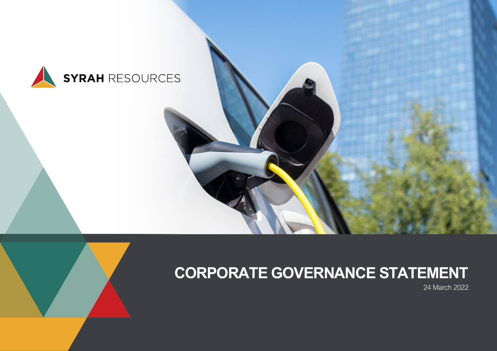

# **CORPORATE GOVERNANCE STATEMENT**

24 March 2022

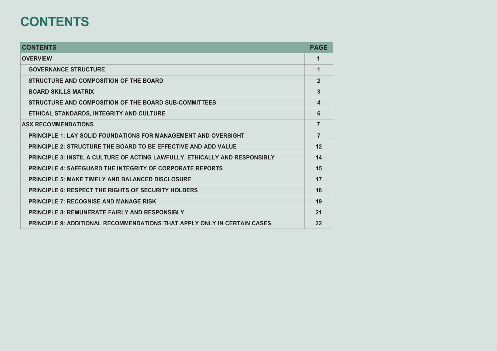## **CONTENTS**

| <b>CONTENTS</b>                                                                 | <b>PAGE</b>    |
|---------------------------------------------------------------------------------|----------------|
| <b>OVERVIEW</b>                                                                 | 1              |
| <b>GOVERNANCE STRUCTURE</b>                                                     | 1              |
| STRUCTURE AND COMPOSITION OF THE BOARD                                          | $\overline{2}$ |
| <b>BOARD SKILLS MATRIX</b>                                                      | 3              |
| STRUCTURE AND COMPOSITION OF THE BOARD SUB-COMMITTEES                           | 4              |
| ETHICAL STANDARDS, INTEGRITY AND CULTURE                                        | 6              |
| <b>ASX RECOMMENDATIONS</b>                                                      | $\overline{7}$ |
| <b>PRINCIPLE 1: LAY SOLID FOUNDATIONS FOR MANAGEMENT AND OVERSIGHT</b>          | $\overline{7}$ |
| <b>PRINCIPLE 2: STRUCTURE THE BOARD TO BE EFFECTIVE AND ADD VALUE</b>           | 12             |
| PRINCIPLE 3: INSTIL A CULTURE OF ACTING LAWFULLY, ETHICALLY AND RESPONSIBLY     | 14             |
| <b>PRINCIPLE 4: SAFEGUARD THE INTEGRITY OF CORPORATE REPORTS</b>                | 15             |
| <b>PRINCIPLE 5: MAKE TIMELY AND BALANCED DISCLOSURE</b>                         | 17             |
| <b>PRINCIPLE 6: RESPECT THE RIGHTS OF SECURITY HOLDERS</b>                      | 18             |
| <b>PRINCIPLE 7: RECOGNISE AND MANAGE RISK</b>                                   | 19             |
| <b>PRINCIPLE 8: REMUNERATE FAIRLY AND RESPONSIBLY</b>                           | 21             |
| <b>PRINCIPLE 9: ADDITIONAL RECOMMENDATIONS THAT APPLY ONLY IN CERTAIN CASES</b> | 22             |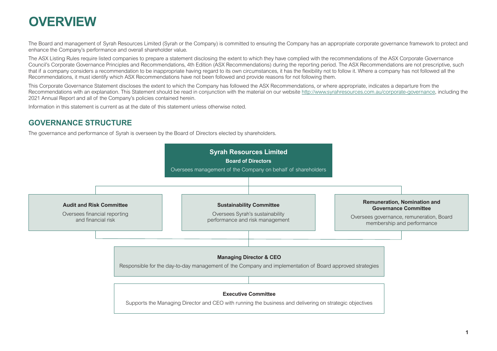## <span id="page-2-0"></span>**OVERVIEW**

The Board and management of Syrah Resources Limited (Syrah or the Company) is committed to ensuring the Company has an appropriate corporate governance framework to protect and enhance the Company's performance and overall shareholder value.

The ASX Listing Rules require listed companies to prepare a statement disclosing the extent to which they have complied with the recommendations of the ASX Corporate Governance Council's Corporate Governance Principles and Recommendations, 4th Edition (ASX Recommendations) during the reporting period. The ASX Recommendations are not prescriptive, such that if a company considers a recommendation to be inappropriate having regard to its own circumstances, it has the flexibility not to follow it. Where a company has not followed all the Recommendations, it must identify which ASX Recommendations have not been followed and provide reasons for not following them.

This Corporate Governance Statement discloses the extent to which the Company has followed the ASX Recommendations, or where appropriate, indicates a departure from the Recommendations with an explanation. This Statement should be read in conjunction with the material on our website [http://www.syrahresources.com.au/corporate-governance,](http://www.syrahresources.com.au/corporate-governance) including the 2021 Annual Report and all of the Company's policies contained herein.

Information in this statement is current as at the date of this statement unless otherwise noted.

#### **GOVERNANCE STRUCTURE**

The governance and performance of Syrah is overseen by the Board of Directors elected by shareholders.

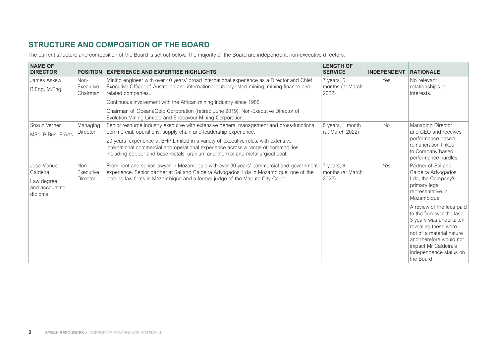#### <span id="page-3-0"></span>**STRUCTURE AND COMPOSITION OF THE BOARD**

The current structure and composition of the Board is set out below. The majority of the Board are independent, non-executive directors.

| <b>NAME OF</b><br><b>DIRECTOR</b>                                  | <b>POSITION</b>               | <b>EXPERIENCE AND EXPERTISE HIGHLIGHTS</b>                                                                                                                                                                                                                         | <b>LENGTH OF</b><br><b>SERVICE</b>      | <b>INDEPENDENT</b> | <b>RATIONALE</b>                                                                                                                                                                                                                |
|--------------------------------------------------------------------|-------------------------------|--------------------------------------------------------------------------------------------------------------------------------------------------------------------------------------------------------------------------------------------------------------------|-----------------------------------------|--------------------|---------------------------------------------------------------------------------------------------------------------------------------------------------------------------------------------------------------------------------|
| James Askew<br>B.Eng, M.Eng                                        | Non-<br>Executive<br>Chairman | Mining engineer with over 40 years' broad international experience as a Director and Chief<br>Executive Officer of Australian and international publicly listed mining, mining finance and<br>related companies.                                                   | 7 years, 5<br>months (at March<br>2022) | Yes                | No relevant<br>relationships or<br>interests.                                                                                                                                                                                   |
|                                                                    |                               | Continuous involvement with the African mining industry since 1985.<br>Chairman of OceanaGold Corporation (retired June 2019), Non-Executive Director of                                                                                                           |                                         |                    |                                                                                                                                                                                                                                 |
|                                                                    |                               | Evolution Mining Limited and Endeavour Mining Corporation.                                                                                                                                                                                                         |                                         |                    |                                                                                                                                                                                                                                 |
| Shaun Verner<br>MSc, B.Bus, B.Arts                                 | Managing<br>Director          | Senior resource industry executive with extensive general management and cross-functional<br>commercial, operations, supply chain and leadership experience.                                                                                                       | 5 years, 1 month<br>(at March 2022)     | <b>No</b>          | Managing Director<br>and CEO and receives                                                                                                                                                                                       |
|                                                                    |                               | 20 years' experience at BHP Limited in a variety of executive roles, with extensive<br>international commercial and operational experience across a range of commodities<br>including copper and base metals, uranium and thermal and metallurgical coal.          |                                         |                    | performance based<br>remuneration linked<br>to Company based<br>performance hurdles.                                                                                                                                            |
| Jose Manuel<br>Caldeira<br>Law degree<br>and accounting<br>diploma | Non-<br>Executive<br>Director | Prominent and senior lawyer in Mozambique with over 30 years' commercial and government<br>experience. Senior partner at Sal and Caldeira Advogados, Lda in Mozambique, one of the<br>leading law firms in Mozambique and a former judge of the Maputo City Court. | 7 years, 8<br>months (at March<br>2022) | Yes                | Partner of Sal and<br>Caldeira Advogados<br>Lda, the Company's<br>primary legal<br>representative in<br>Mozambique.                                                                                                             |
|                                                                    |                               |                                                                                                                                                                                                                                                                    |                                         |                    | A review of the fees paid<br>to the firm over the last<br>3 years was undertaken<br>revealing these were<br>not of a material nature<br>and therefore would not<br>impact Mr Caldeira's<br>independence status on<br>the Board. |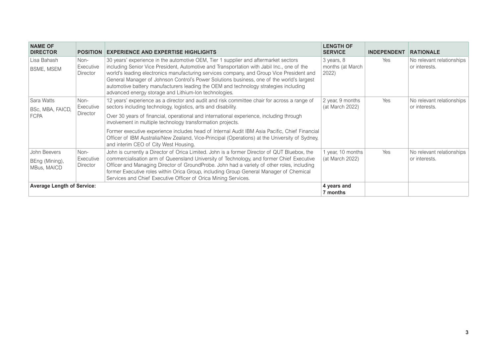<span id="page-4-0"></span>

| <b>NAME OF</b><br><b>DIRECTOR</b>             | <b>POSITION</b>               | <b>EXPERIENCE AND EXPERTISE HIGHLIGHTS</b>                                                                                                                                                                                                                                                                                                                                                                                                                                                                                  | <b>LENGTH OF</b><br><b>SERVICE</b>      | <b>INDEPENDENT</b> | <b>RATIONALE</b>                           |
|-----------------------------------------------|-------------------------------|-----------------------------------------------------------------------------------------------------------------------------------------------------------------------------------------------------------------------------------------------------------------------------------------------------------------------------------------------------------------------------------------------------------------------------------------------------------------------------------------------------------------------------|-----------------------------------------|--------------------|--------------------------------------------|
| Lisa Bahash<br><b>BSME, MSEM</b>              | Non-<br>Executive<br>Director | 30 years' experience in the automotive OEM, Tier 1 supplier and aftermarket sectors<br>including Senior Vice President, Automotive and Transportation with Jabil Inc., one of the<br>world's leading electronics manufacturing services company, and Group Vice President and<br>General Manager of Johnson Control's Power Solutions business, one of the world's largest<br>automotive battery manufacturers leading the OEM and technology strategies including<br>advanced energy storage and Lithium-Ion technologies. | 3 years, 8<br>months (at March<br>2022) | Yes                | No relevant relationships<br>or interests. |
| Sara Watts<br>BSc, MBA, FAICD,<br><b>FCPA</b> | Non-<br>Executive<br>Director | 12 years' experience as a director and audit and risk committee chair for across a range of<br>sectors including technology, logistics, arts and disability.<br>Over 30 years of financial, operational and international experience, including through                                                                                                                                                                                                                                                                     | 2 year, 9 months<br>(at March 2022)     | Yes                | No relevant relationships<br>or interests. |
|                                               |                               | involvement in multiple technology transformation projects.<br>Former executive experience includes head of Internal Audit IBM Asia Pacific, Chief Financial<br>Officer of IBM Australia/New Zealand, Vice-Principal (Operations) at the University of Sydney,<br>and interim CEO of City West Housing.                                                                                                                                                                                                                     |                                         |                    |                                            |
| John Beevers<br>BEng (Mining),<br>MBus, MAICD | Non-<br>Executive<br>Director | John is currently a Director of Orica Limited. John is a former Director of QUT Bluebox, the<br>commercialisation arm of Queensland University of Technology, and former Chief Executive<br>Officer and Managing Director of GroundProbe. John had a variety of other roles, including<br>former Executive roles within Orica Group, including Group General Manager of Chemical<br>Services and Chief Executive Officer of Orica Mining Services.                                                                          | 1 year, 10 months<br>(at March 2022)    | Yes                | No relevant relationships<br>or interests. |
| <b>Average Length of Service:</b>             |                               |                                                                                                                                                                                                                                                                                                                                                                                                                                                                                                                             | 4 years and<br>7 months                 |                    |                                            |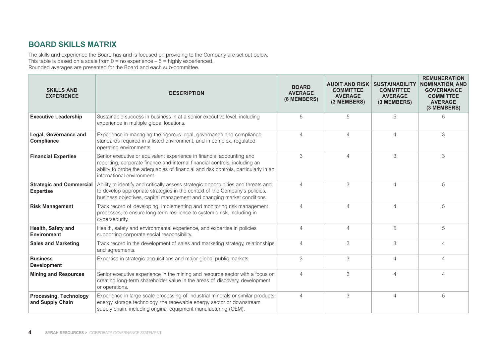#### <span id="page-5-0"></span>**BOARD SKILLS MATRIX**

The skills and experience the Board has and is focused on providing to the Company are set out below. This table is based on a scale from  $0 =$  no experience –  $5 =$  highly experienced. Rounded averages are presented for the Board and each sub-committee.

| <b>SKILLS AND</b><br><b>EXPERIENCE</b>              | <b>DESCRIPTION</b>                                                                                                                                                                                                                                                      | <b>BOARD</b><br><b>AVERAGE</b><br>(6 MEMBERS) | <b>COMMITTEE</b><br><b>AVERAGE</b><br>(3 MEMBERS) | <b>AUDIT AND RISK SUSTAINABILITY</b><br><b>COMMITTEE</b><br><b>AVERAGE</b><br>(3 MEMBERS) | <b>REMUNERATION</b><br><b>NOMINATION, AND</b><br><b>GOVERNANCE</b><br><b>COMMITTEE</b><br><b>AVERAGE</b><br>(3 MEMBERS) |
|-----------------------------------------------------|-------------------------------------------------------------------------------------------------------------------------------------------------------------------------------------------------------------------------------------------------------------------------|-----------------------------------------------|---------------------------------------------------|-------------------------------------------------------------------------------------------|-------------------------------------------------------------------------------------------------------------------------|
| <b>Executive Leadership</b>                         | Sustainable success in business in at a senior executive level, including<br>experience in multiple global locations.                                                                                                                                                   | 5                                             | 5                                                 | 5                                                                                         | 5                                                                                                                       |
| Legal, Governance and<br>Compliance                 | Experience in managing the rigorous legal, governance and compliance<br>standards required in a listed environment, and in complex, regulated<br>operating environments.                                                                                                | $\overline{4}$                                | $\overline{4}$                                    | $\overline{4}$                                                                            | 3                                                                                                                       |
| <b>Financial Expertise</b>                          | Senior executive or equivalent experience in financial accounting and<br>reporting, corporate finance and internal financial controls, including an<br>ability to probe the adequacies of financial and risk controls, particularly in an<br>international environment. | 3                                             | $\overline{4}$                                    | 3                                                                                         | 3                                                                                                                       |
| <b>Strategic and Commercial</b><br><b>Expertise</b> | Ability to identify and critically assess strategic opportunities and threats and<br>to develop appropriate strategies in the context of the Company's policies,<br>business objectives, capital management and changing market conditions.                             | $\overline{4}$                                | 3                                                 | $\overline{4}$                                                                            | 5                                                                                                                       |
| <b>Risk Management</b>                              | Track record of developing, implementing and monitoring risk management<br>processes, to ensure long term resilience to systemic risk, including in<br>cybersecurity.                                                                                                   | $\overline{4}$                                | $\overline{4}$                                    | $\overline{4}$                                                                            | 5                                                                                                                       |
| Health, Safety and<br><b>Environment</b>            | Health, safety and environmental experience, and expertise in policies<br>supporting corporate social responsibility.                                                                                                                                                   | $\overline{4}$                                | $\overline{4}$                                    | 5                                                                                         | 5                                                                                                                       |
| <b>Sales and Marketing</b>                          | Track record in the development of sales and marketing strategy, relationships<br>and agreements.                                                                                                                                                                       | $\overline{4}$                                | 3                                                 | 3                                                                                         | $\overline{4}$                                                                                                          |
| <b>Business</b><br><b>Development</b>               | Expertise in strategic acquisitions and major global public markets.                                                                                                                                                                                                    | 3                                             | 3                                                 | $\overline{4}$                                                                            | $\overline{4}$                                                                                                          |
| <b>Mining and Resources</b>                         | Senior executive experience in the mining and resource sector with a focus on<br>creating long-term shareholder value in the areas of discovery, development<br>or operations.                                                                                          | $\overline{4}$                                | 3                                                 | $\overline{4}$                                                                            | $\Delta$                                                                                                                |
| <b>Processing, Technology</b><br>and Supply Chain   | Experience in large scale processing of industrial minerals or similar products,<br>energy storage technology, the renewable energy sector or downstream<br>supply chain, including original equipment manufacturing (OEM).                                             | $\overline{4}$                                | $\mathfrak 3$                                     | $\overline{4}$                                                                            | 5                                                                                                                       |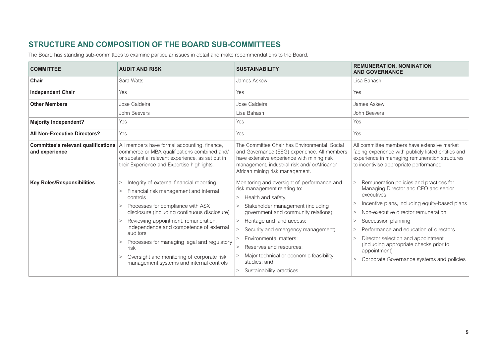### **STRUCTURE AND COMPOSITION OF THE BOARD SUB-COMMITTEES**

The Board has standing sub-committees to examine particular issues in detail and make recommendations to the Board.

| <b>COMMITTEE</b>                                             | <b>AUDIT AND RISK</b>                                                                                                                                                                                                                                                                                                                                                                                                                                          | <b>SUSTAINABILITY</b>                                                                                                                                                                                                                                                                                                                                                                                               | <b>REMUNERATION, NOMINATION</b><br><b>AND GOVERNANCE</b>                                                                                                                                                                                                                                                                                                                                                                |
|--------------------------------------------------------------|----------------------------------------------------------------------------------------------------------------------------------------------------------------------------------------------------------------------------------------------------------------------------------------------------------------------------------------------------------------------------------------------------------------------------------------------------------------|---------------------------------------------------------------------------------------------------------------------------------------------------------------------------------------------------------------------------------------------------------------------------------------------------------------------------------------------------------------------------------------------------------------------|-------------------------------------------------------------------------------------------------------------------------------------------------------------------------------------------------------------------------------------------------------------------------------------------------------------------------------------------------------------------------------------------------------------------------|
| Chair                                                        | Sara Watts                                                                                                                                                                                                                                                                                                                                                                                                                                                     | James Askew                                                                                                                                                                                                                                                                                                                                                                                                         | Lisa Bahash                                                                                                                                                                                                                                                                                                                                                                                                             |
| <b>Independent Chair</b>                                     | <b>Yes</b>                                                                                                                                                                                                                                                                                                                                                                                                                                                     | <b>Yes</b>                                                                                                                                                                                                                                                                                                                                                                                                          | Yes                                                                                                                                                                                                                                                                                                                                                                                                                     |
| <b>Other Members</b>                                         | Jose Caldeira                                                                                                                                                                                                                                                                                                                                                                                                                                                  | Jose Caldeira                                                                                                                                                                                                                                                                                                                                                                                                       | James Askew                                                                                                                                                                                                                                                                                                                                                                                                             |
|                                                              | John Beevers                                                                                                                                                                                                                                                                                                                                                                                                                                                   | Lisa Bahash                                                                                                                                                                                                                                                                                                                                                                                                         | John Beevers                                                                                                                                                                                                                                                                                                                                                                                                            |
| <b>Majority Independent?</b>                                 | Yes                                                                                                                                                                                                                                                                                                                                                                                                                                                            | Yes                                                                                                                                                                                                                                                                                                                                                                                                                 | Yes                                                                                                                                                                                                                                                                                                                                                                                                                     |
| <b>All Non-Executive Directors?</b>                          | Yes                                                                                                                                                                                                                                                                                                                                                                                                                                                            | Yes                                                                                                                                                                                                                                                                                                                                                                                                                 | Yes                                                                                                                                                                                                                                                                                                                                                                                                                     |
| <b>Committee's relevant qualifications</b><br>and experience | All members have formal accounting, finance,<br>commerce or MBA qualifications combined and/<br>or substantial relevant experience, as set out in<br>their Experience and Expertise highlights.                                                                                                                                                                                                                                                                | The Committee Chair has Environmental, Social<br>and Governance (ESG) experience. All members<br>have extensive experience with mining risk<br>management, industrial risk and/orAfricanor<br>African mining risk management.                                                                                                                                                                                       | All committee members have extensive market<br>facing experience with publicly listed entities and<br>experience in managing remuneration structures<br>to incentivise appropriate performance.                                                                                                                                                                                                                         |
| <b>Key Roles/Responsibilities</b>                            | Integrity of external financial reporting<br>$\geq$<br>Financial risk management and internal<br>$\mathbf{I}$<br>controls<br>Processes for compliance with ASX<br>disclosure (including continuous disclosure)<br>Reviewing appointment, remuneration,<br>independence and competence of external<br>auditors<br>Processes for managing legal and regulatory<br>risk<br>Oversight and monitoring of corporate risk<br>management systems and internal controls | Monitoring and oversight of performance and<br>risk management relating to:<br>Health and safety;<br>$\mathbf{I}$<br>Stakeholder management (including<br>government and community relations);<br>Heritage and land access;<br>Security and emergency management;<br>Environmental matters;<br>Reserves and resources:<br>Major technical or economic feasibility<br>studies; and<br>Sustainability practices.<br>> | Remuneration policies and practices for<br>$\geq$<br>Managing Director and CEO and senior<br>executives<br>Incentive plans, including equity-based plans<br>Non-executive director remuneration<br>Succession planning<br>$\geq$<br>Performance and education of directors<br>Director selection and appointment<br>(including appropriate checks prior to<br>appointment)<br>Corporate Governance systems and policies |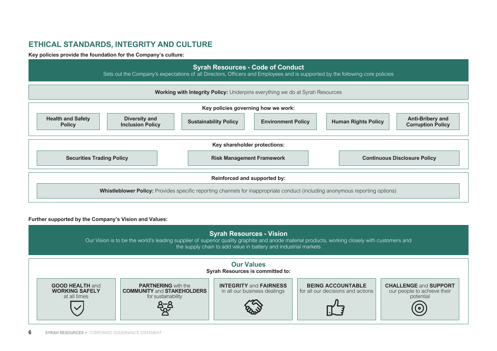#### <span id="page-7-0"></span>**ETHICAL STANDARDS, INTEGRITY AND CULTURE**

**Key policies provide the foundation for the Company's culture:**



#### **Further supported by the Company's Vision and Values:**

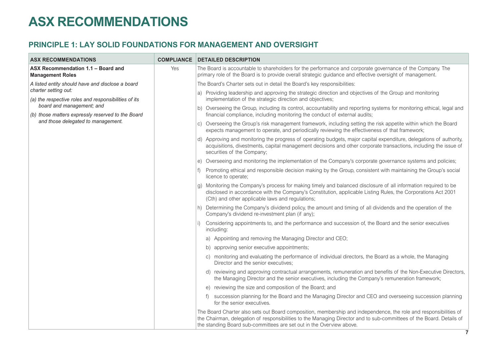## <span id="page-8-0"></span>**ASX RECOMMENDATIONS**

### **PRINCIPLE 1: LAY SOLID FOUNDATIONS FOR MANAGEMENT AND OVERSIGHT**

| <b>ASX RECOMMENDATIONS</b>                                                     | <b>COMPLIANCE</b> | <b>DETAILED DESCRIPTION</b>                                                                                                                                                                                                                                                                                      |
|--------------------------------------------------------------------------------|-------------------|------------------------------------------------------------------------------------------------------------------------------------------------------------------------------------------------------------------------------------------------------------------------------------------------------------------|
| ASX Recommendation 1.1 - Board and<br><b>Management Roles</b>                  | Yes               | The Board is accountable to shareholders for the performance and corporate governance of the Company. The<br>primary role of the Board is to provide overall strategic guidance and effective oversight of management.                                                                                           |
| A listed entity should have and disclose a board                               |                   | The Board's Charter sets out in detail the Board's key responsibilities:                                                                                                                                                                                                                                         |
| charter setting out:<br>(a) the respective roles and responsibilities of its   |                   | a) Providing leadership and approving the strategic direction and objectives of the Group and monitoring<br>implementation of the strategic direction and objectives;                                                                                                                                            |
| board and management; and<br>(b) those matters expressly reserved to the Board |                   | b) Overseeing the Group, including its control, accountability and reporting systems for monitoring ethical, legal and<br>financial compliance, including monitoring the conduct of external audits;                                                                                                             |
| and those delegated to management.                                             |                   | c) Overseeing the Group's risk management framework, including setting the risk appetite within which the Board<br>expects management to operate, and periodically reviewing the effectiveness of that framework;                                                                                                |
|                                                                                |                   | d) Approving and monitoring the progress of operating budgets, major capital expenditure, delegations of authority,<br>acquisitions, divestments, capital management decisions and other corporate transactions, including the issue of<br>securities of the Company;                                            |
|                                                                                |                   | e) Overseeing and monitoring the implementation of the Company's corporate governance systems and policies;                                                                                                                                                                                                      |
|                                                                                |                   | Promoting ethical and responsible decision making by the Group, consistent with maintaining the Group's social<br>licence to operate;                                                                                                                                                                            |
|                                                                                |                   | g) Monitoring the Company's process for making timely and balanced disclosure of all information required to be<br>disclosed in accordance with the Company's Constitution, applicable Listing Rules, the Corporations Act 2001<br>(Cth) and other applicable laws and regulations;                              |
|                                                                                |                   | h) Determining the Company's dividend policy, the amount and timing of all dividends and the operation of the<br>Company's dividend re-investment plan (if any);                                                                                                                                                 |
|                                                                                |                   | Considering appointments to, and the performance and succession of, the Board and the senior executives<br>including:                                                                                                                                                                                            |
|                                                                                |                   | a) Appointing and removing the Managing Director and CEO;                                                                                                                                                                                                                                                        |
|                                                                                |                   | b) approving senior executive appointments;                                                                                                                                                                                                                                                                      |
|                                                                                |                   | c) monitoring and evaluating the performance of individual directors, the Board as a whole, the Managing<br>Director and the senior executives;                                                                                                                                                                  |
|                                                                                |                   | reviewing and approving contractual arrangements, remuneration and benefits of the Non-Executive Directors,<br>d)<br>the Managing Director and the senior executives, including the Company's remuneration framework;                                                                                            |
|                                                                                |                   | e) reviewing the size and composition of the Board; and                                                                                                                                                                                                                                                          |
|                                                                                |                   | succession planning for the Board and the Managing Director and CEO and overseeing succession planning<br>f<br>for the senior executives.                                                                                                                                                                        |
|                                                                                |                   | The Board Charter also sets out Board composition, membership and independence, the role and responsibilities of<br>the Chairman, delegation of responsibilities to the Managing Director and to sub-committees of the Board. Details of<br>the standing Board sub-committees are set out in the Overview above. |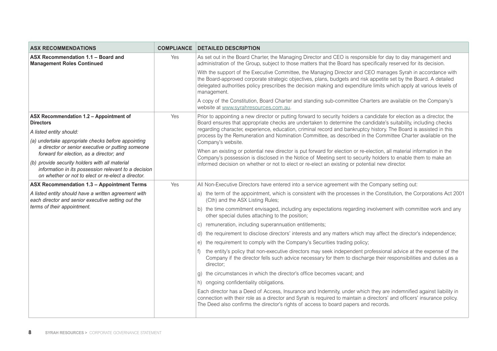| <b>ASX RECOMMENDATIONS</b>                                                                                                                                   | <b>COMPLIANCE</b> | <b>DETAILED DESCRIPTION</b>                                                                                                                                                                                                                                                                                                                                           |
|--------------------------------------------------------------------------------------------------------------------------------------------------------------|-------------------|-----------------------------------------------------------------------------------------------------------------------------------------------------------------------------------------------------------------------------------------------------------------------------------------------------------------------------------------------------------------------|
| ASX Recommendation 1.1 - Board and<br><b>Management Roles Continued</b>                                                                                      | Yes               | As set out in the Board Charter, the Managing Director and CEO is responsible for day to day management and<br>administration of the Group, subject to those matters that the Board has specifically reserved for its decision.                                                                                                                                       |
|                                                                                                                                                              |                   | With the support of the Executive Committee, the Managing Director and CEO manages Syrah in accordance with<br>the Board-approved corporate strategic objectives, plans, budgets and risk appetite set by the Board. A detailed<br>delegated authorities policy prescribes the decision making and expenditure limits which apply at various levels of<br>management. |
|                                                                                                                                                              |                   | A copy of the Constitution, Board Charter and standing sub-committee Charters are available on the Company's<br>website at www.syrahresources.com.au.                                                                                                                                                                                                                 |
| ASX Recommendation 1.2 - Appointment of<br><b>Directors</b>                                                                                                  | Yes               | Prior to appointing a new director or putting forward to security holders a candidate for election as a director, the<br>Board ensures that appropriate checks are undertaken to determine the candidate's suitability, including checks                                                                                                                              |
| A listed entity should:                                                                                                                                      |                   | regarding character, experience, education, criminal record and bankruptcy history. The Board is assisted in this<br>process by the Remuneration and Nomination Committee, as described in the Committee Charter available on the                                                                                                                                     |
| (a) undertake appropriate checks before appointing                                                                                                           |                   | Company's website.                                                                                                                                                                                                                                                                                                                                                    |
| a director or senior executive or putting someone<br>forward for election, as a director; and                                                                |                   | When an existing or potential new director is put forward for election or re-election, all material information in the<br>Company's possession is disclosed in the Notice of Meeting sent to security holders to enable them to make an                                                                                                                               |
| (b) provide security holders with all material<br>information in its possession relevant to a decision<br>on whether or not to elect or re-elect a director. |                   | informed decision on whether or not to elect or re-elect an existing or potential new director.                                                                                                                                                                                                                                                                       |
| ASX Recommendation 1.3 - Appointment Terms                                                                                                                   | Yes               | All Non-Executive Directors have entered into a service agreement with the Company setting out:                                                                                                                                                                                                                                                                       |
| A listed entity should have a written agreement with<br>each director and senior executive setting out the                                                   |                   | a) the term of the appointment, which is consistent with the processes in the Constitution, the Corporations Act 2001<br>(Cth) and the ASX Listing Rules;                                                                                                                                                                                                             |
| terms of their appointment.                                                                                                                                  |                   | b) the time commitment envisaged, including any expectations regarding involvement with committee work and any<br>other special duties attaching to the position;                                                                                                                                                                                                     |
|                                                                                                                                                              |                   | c) remuneration, including superannuation entitlements;                                                                                                                                                                                                                                                                                                               |
|                                                                                                                                                              |                   | d) the requirement to disclose directors' interests and any matters which may affect the director's independence;                                                                                                                                                                                                                                                     |
|                                                                                                                                                              |                   | e) the requirement to comply with the Company's Securities trading policy;                                                                                                                                                                                                                                                                                            |
|                                                                                                                                                              |                   | f) the entity's policy that non-executive directors may seek independent professional advice at the expense of the<br>Company if the director fells such advice necessary for them to discharge their responsibilities and duties as a<br>director:                                                                                                                   |
|                                                                                                                                                              |                   | g) the circumstances in which the director's office becomes vacant; and                                                                                                                                                                                                                                                                                               |
|                                                                                                                                                              |                   | h) ongoing confidentiality obligations.                                                                                                                                                                                                                                                                                                                               |
|                                                                                                                                                              |                   | Each director has a Deed of Access, Insurance and Indemnity, under which they are indemnified against liability in<br>connection with their role as a director and Syrah is required to maintain a directors' and officers' insurance policy.<br>The Deed also confirms the director's rights of access to board papers and records.                                  |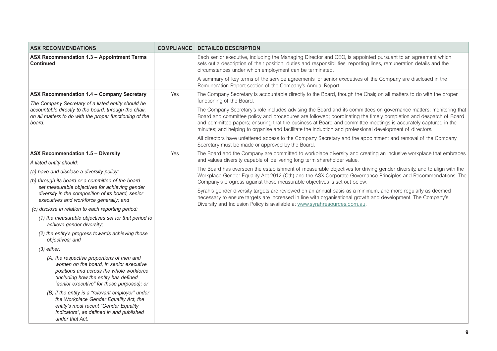| <b>ASX RECOMMENDATIONS</b>                                                                                                                                                                                              |     | <b>COMPLIANCE DETAILED DESCRIPTION</b>                                                                                                                                                                                                                                                                                                                                                                                                                               |
|-------------------------------------------------------------------------------------------------------------------------------------------------------------------------------------------------------------------------|-----|----------------------------------------------------------------------------------------------------------------------------------------------------------------------------------------------------------------------------------------------------------------------------------------------------------------------------------------------------------------------------------------------------------------------------------------------------------------------|
| ASX Recommendation 1.3 - Appointment Terms<br><b>Continued</b>                                                                                                                                                          |     | Each senior executive, including the Managing Director and CEO, is appointed pursuant to an agreement which<br>sets out a description of their position, duties and responsibilities, reporting lines, remuneration details and the<br>circumstances under which employment can be terminated.                                                                                                                                                                       |
|                                                                                                                                                                                                                         |     | A summary of key terms of the service agreements for senior executives of the Company are disclosed in the<br>Remuneration Report section of the Company's Annual Report.                                                                                                                                                                                                                                                                                            |
| ASX Recommendation 1.4 - Company Secretary<br>The Company Secretary of a listed entity should be                                                                                                                        | Yes | The Company Secretary is accountable directly to the Board, though the Chair, on all matters to do with the proper<br>functioning of the Board.                                                                                                                                                                                                                                                                                                                      |
| accountable directly to the board, through the chair,<br>on all matters to do with the proper functioning of the<br>board.                                                                                              |     | The Company Secretary's role includes advising the Board and its committees on governance matters; monitoring that<br>Board and committee policy and procedures are followed; coordinating the timely completion and despatch of Board<br>and committee papers; ensuring that the business at Board and committee meetings is accurately captured in the<br>minutes; and helping to organise and facilitate the induction and professional development of directors. |
|                                                                                                                                                                                                                         |     | All directors have unfettered access to the Company Secretary and the appointment and removal of the Company<br>Secretary must be made or approved by the Board.                                                                                                                                                                                                                                                                                                     |
| <b>ASX Recommendation 1.5 - Diversity</b>                                                                                                                                                                               | Yes | The Board and the Company are committed to workplace diversity and creating an inclusive workplace that embraces                                                                                                                                                                                                                                                                                                                                                     |
| A listed entity should:                                                                                                                                                                                                 |     | and values diversity capable of delivering long term shareholder value.                                                                                                                                                                                                                                                                                                                                                                                              |
| (a) have and disclose a diversity policy;                                                                                                                                                                               |     | The Board has overseen the establishment of measurable objectives for driving gender diversity, and to align with the<br>Workplace Gender Equality Act 2012 (Cth) and the ASX Corporate Governance Principles and Recommendations. The                                                                                                                                                                                                                               |
| (b) through its board or a committee of the board                                                                                                                                                                       |     | Company's progress against those measurable objectives is set out below.                                                                                                                                                                                                                                                                                                                                                                                             |
| set measurable objectives for achieving gender<br>diversity in the composition of its board, senior<br>executives and workforce generally; and                                                                          |     | Syrah's gender diversity targets are reviewed on an annual basis as a minimum, and more regularly as deemed<br>necessary to ensure targets are increased in line with organisational growth and development. The Company's<br>Diversity and Inclusion Policy is available at www.syrahresources.com.au.                                                                                                                                                              |
| (c) disclose in relation to each reporting period:                                                                                                                                                                      |     |                                                                                                                                                                                                                                                                                                                                                                                                                                                                      |
| (1) the measurable objectives set for that period to<br>achieve gender diversity;                                                                                                                                       |     |                                                                                                                                                                                                                                                                                                                                                                                                                                                                      |
| (2) the entity's progress towards achieving those<br>objectives; and                                                                                                                                                    |     |                                                                                                                                                                                                                                                                                                                                                                                                                                                                      |
| $(3)$ either:                                                                                                                                                                                                           |     |                                                                                                                                                                                                                                                                                                                                                                                                                                                                      |
| (A) the respective proportions of men and<br>women on the board, in senior executive<br>positions and across the whole workforce<br>(including how the entity has defined<br>"senior executive" for these purposes); or |     |                                                                                                                                                                                                                                                                                                                                                                                                                                                                      |
| (B) if the entity is a "relevant employer" under<br>the Workplace Gender Equality Act, the<br>entity's most recent "Gender Equality<br>Indicators", as defined in and published<br>under that Act.                      |     |                                                                                                                                                                                                                                                                                                                                                                                                                                                                      |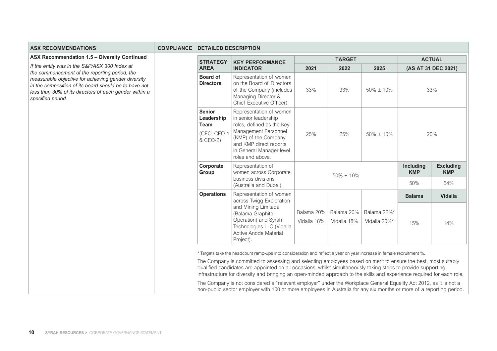| <b>ASX RECOMMENDATIONS</b>                                                                                                                                                                                                                   | <b>COMPLIANCE</b> | <b>DETAILED DESCRIPTION</b>                                           |                                                                                                                                                                                                                                                                                                                                                                                                                                                                                                                                                                                                         |                           |                           |                             |                         |                                |
|----------------------------------------------------------------------------------------------------------------------------------------------------------------------------------------------------------------------------------------------|-------------------|-----------------------------------------------------------------------|---------------------------------------------------------------------------------------------------------------------------------------------------------------------------------------------------------------------------------------------------------------------------------------------------------------------------------------------------------------------------------------------------------------------------------------------------------------------------------------------------------------------------------------------------------------------------------------------------------|---------------------------|---------------------------|-----------------------------|-------------------------|--------------------------------|
| ASX Recommendation 1.5 - Diversity Continued                                                                                                                                                                                                 |                   | <b>STRATEGY</b>                                                       | <b>KEY PERFORMANCE</b>                                                                                                                                                                                                                                                                                                                                                                                                                                                                                                                                                                                  | <b>TARGET</b>             |                           |                             |                         | <b>ACTUAL</b>                  |
| If the entity was in the S&P/ASX 300 Index at                                                                                                                                                                                                |                   | <b>AREA</b>                                                           | <b>INDICATOR</b>                                                                                                                                                                                                                                                                                                                                                                                                                                                                                                                                                                                        | 2021                      | 2022                      | 2025                        |                         | (AS AT 31 DEC 2021)            |
| the commencement of the reporting period, the<br>measurable objective for achieving gender diversity<br>in the composition of its board should be to have not<br>less than 30% of its directors of each gender within a<br>specified period. |                   | <b>Board of</b><br><b>Directors</b>                                   | Representation of women<br>on the Board of Directors<br>of the Company (includes<br>Managing Director &<br>Chief Executive Officer).                                                                                                                                                                                                                                                                                                                                                                                                                                                                    | 33%                       | 33%                       | $50\% \pm 10\%$             |                         | 33%                            |
|                                                                                                                                                                                                                                              |                   | <b>Senior</b><br>Leadership<br><b>Team</b><br>(CEO, CEO-1<br>& CEO-2) | Representation of women<br>in senior leadership<br>roles, defined as the Key<br>Management Personnel<br>(KMP) of the Company<br>and KMP direct reports<br>in General Manager level<br>roles and above.                                                                                                                                                                                                                                                                                                                                                                                                  | 25%                       | 25%                       | $50\% \pm 10\%$             |                         | 20%                            |
|                                                                                                                                                                                                                                              |                   | Corporate<br>Group                                                    | Representation of<br>women across Corporate<br>business divisions                                                                                                                                                                                                                                                                                                                                                                                                                                                                                                                                       |                           | $50\% \pm 10\%$           |                             | Including<br><b>KMP</b> | <b>Excluding</b><br><b>KMP</b> |
|                                                                                                                                                                                                                                              |                   |                                                                       | (Australia and Dubai).                                                                                                                                                                                                                                                                                                                                                                                                                                                                                                                                                                                  |                           |                           | 50%                         | 54%                     |                                |
|                                                                                                                                                                                                                                              |                   | <b>Operations</b>                                                     | Representation of women<br>across Twigg Exploration                                                                                                                                                                                                                                                                                                                                                                                                                                                                                                                                                     |                           |                           |                             | <b>Balama</b>           | <b>Vidalia</b>                 |
|                                                                                                                                                                                                                                              |                   |                                                                       | and Mining Limitada<br>(Balama Graphite<br>Operation) and Syrah<br>Technologies LLC (Vidalia<br>Active Anode Material<br>Project).                                                                                                                                                                                                                                                                                                                                                                                                                                                                      | Balama 20%<br>Vidalia 18% | Balama 20%<br>Vidalia 18% | Balama 22%*<br>Vidalia 20%* | 15%                     | 14%                            |
|                                                                                                                                                                                                                                              |                   |                                                                       | * Targets take the headcount ramp-ups into consideration and reflect a year on year increase in female recruitment %.<br>The Company is committed to assessing and selecting employees based on merit to ensure the best, most suitably<br>qualified candidates are appointed on all occasions, whilst simultaneously taking steps to provide supporting<br>infrastructure for diversity and bringing an open-minded approach to the skills and experience required for each role.<br>The Company is not considered a "relevant employer" under the Workplace General Equality Act 2012, as it is not a |                           |                           |                             |                         |                                |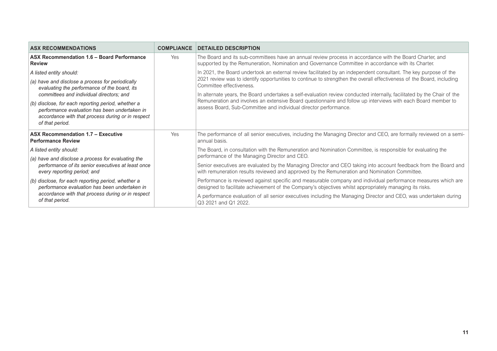| <b>ASX RECOMMENDATIONS</b>                                                                                                                                                  | <b>COMPLIANCE</b> | <b>DETAILED DESCRIPTION</b>                                                                                                                                                                                              |
|-----------------------------------------------------------------------------------------------------------------------------------------------------------------------------|-------------------|--------------------------------------------------------------------------------------------------------------------------------------------------------------------------------------------------------------------------|
| ASX Recommendation 1.6 - Board Performance<br><b>Review</b>                                                                                                                 | Yes               | The Board and its sub-committees have an annual review process in accordance with the Board Charter, and<br>supported by the Remuneration, Nomination and Governance Committee in accordance with its Charter.           |
| A listed entity should:                                                                                                                                                     |                   | In 2021, the Board undertook an external review facilitated by an independent consultant. The key purpose of the                                                                                                         |
| (a) have and disclose a process for periodically<br>evaluating the performance of the board, its                                                                            |                   | 2021 review was to identify opportunities to continue to strengthen the overall effectiveness of the Board, including<br>Committee effectiveness.                                                                        |
| committees and individual directors; and                                                                                                                                    |                   | In alternate years, the Board undertakes a self-evaluation review conducted internally, facilitated by the Chair of the                                                                                                  |
| (b) disclose, for each reporting period, whether a<br>performance evaluation has been undertaken in<br>accordance with that process during or in respect<br>of that period. |                   | Remuneration and involves an extensive Board questionnaire and follow up interviews with each Board member to<br>assess Board, Sub-Committee and individual director performance.                                        |
| ASX Recommendation 1.7 - Executive<br><b>Performance Review</b>                                                                                                             | Yes               | The performance of all senior executives, including the Managing Director and CEO, are formally reviewed on a semi-<br>annual basis.                                                                                     |
| A listed entity should:                                                                                                                                                     |                   | The Board, in consultation with the Remuneration and Nomination Committee, is responsible for evaluating the                                                                                                             |
| (a) have and disclose a process for evaluating the                                                                                                                          |                   | performance of the Managing Director and CEO.                                                                                                                                                                            |
| performance of its senior executives at least once<br>every reporting period; and                                                                                           |                   | Senior executives are evaluated by the Managing Director and CEO taking into account feedback from the Board and<br>with remuneration results reviewed and approved by the Remuneration and Nomination Committee.        |
| (b) disclose, for each reporting period, whether a<br>performance evaluation has been undertaken in                                                                         |                   | Performance is reviewed against specific and measurable company and individual performance measures which are<br>designed to facilitate achievement of the Company's objectives whilst appropriately managing its risks. |
| accordance with that process during or in respect<br>of that period.                                                                                                        |                   | A performance evaluation of all senior executives including the Managing Director and CEO, was undertaken during<br>Q3 2021 and Q1 2022.                                                                                 |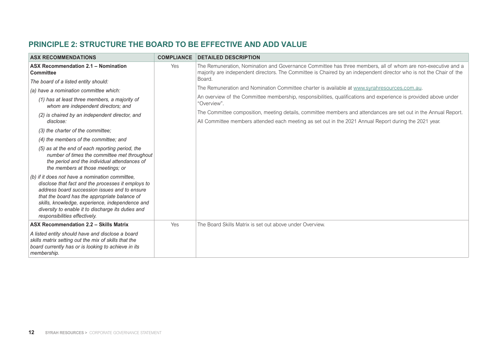#### <span id="page-13-0"></span>**PRINCIPLE 2: STRUCTURE THE BOARD TO BE EFFECTIVE AND ADD VALUE**

| <b>ASX RECOMMENDATIONS</b>                                                                                                                                                                                                                                                                                                                        | <b>COMPLIANCE</b> | <b>DETAILED DESCRIPTION</b>                                                                                                                                                                                                         |
|---------------------------------------------------------------------------------------------------------------------------------------------------------------------------------------------------------------------------------------------------------------------------------------------------------------------------------------------------|-------------------|-------------------------------------------------------------------------------------------------------------------------------------------------------------------------------------------------------------------------------------|
| <b>ASX Recommendation 2.1 - Nomination</b><br><b>Committee</b>                                                                                                                                                                                                                                                                                    | Yes               | The Remuneration, Nomination and Governance Committee has three members, all of whom are non-executive and a<br>majority are independent directors. The Committee is Chaired by an independent director who is not the Chair of the |
| The board of a listed entity should:                                                                                                                                                                                                                                                                                                              |                   | Board.                                                                                                                                                                                                                              |
| (a) have a nomination committee which:                                                                                                                                                                                                                                                                                                            |                   | The Remuneration and Nomination Committee charter is available at www.syrahresources.com.au.                                                                                                                                        |
| (1) has at least three members, a majority of<br>whom are independent directors; and                                                                                                                                                                                                                                                              |                   | An overview of the Committee membership, responsibilities, qualifications and experience is provided above under<br>"Overview".                                                                                                     |
| (2) is chaired by an independent director, and                                                                                                                                                                                                                                                                                                    |                   | The Committee composition, meeting details, committee members and attendances are set out in the Annual Report.                                                                                                                     |
| disclose:                                                                                                                                                                                                                                                                                                                                         |                   | All Committee members attended each meeting as set out in the 2021 Annual Report during the 2021 year.                                                                                                                              |
| (3) the charter of the committee;                                                                                                                                                                                                                                                                                                                 |                   |                                                                                                                                                                                                                                     |
| (4) the members of the committee; and                                                                                                                                                                                                                                                                                                             |                   |                                                                                                                                                                                                                                     |
| (5) as at the end of each reporting period, the<br>number of times the committee met throughout<br>the period and the individual attendances of<br>the members at those meetings; or                                                                                                                                                              |                   |                                                                                                                                                                                                                                     |
| (b) if it does not have a nomination committee,<br>disclose that fact and the processes it employs to<br>address board succession issues and to ensure<br>that the board has the appropriate balance of<br>skills, knowledge, experience, independence and<br>diversity to enable it to discharge its duties and<br>responsibilities effectively. |                   |                                                                                                                                                                                                                                     |
| ASX Recommendation 2.2 - Skills Matrix                                                                                                                                                                                                                                                                                                            | Yes               | The Board Skills Matrix is set out above under Overview.                                                                                                                                                                            |
| A listed entity should have and disclose a board<br>skills matrix setting out the mix of skills that the<br>board currently has or is looking to achieve in its<br>membership.                                                                                                                                                                    |                   |                                                                                                                                                                                                                                     |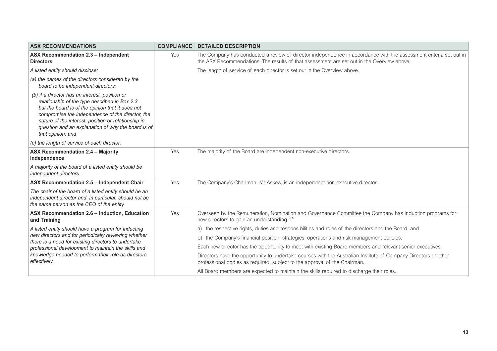| <b>ASX RECOMMENDATIONS</b>                                                                                                                                                                                                                                                                                                                | <b>COMPLIANCE</b> | <b>DETAILED DESCRIPTION</b>                                                                                                                                                                                     |
|-------------------------------------------------------------------------------------------------------------------------------------------------------------------------------------------------------------------------------------------------------------------------------------------------------------------------------------------|-------------------|-----------------------------------------------------------------------------------------------------------------------------------------------------------------------------------------------------------------|
| ASX Recommendation 2.3 - Independent<br><b>Directors</b>                                                                                                                                                                                                                                                                                  | Yes               | The Company has conducted a review of director independence in accordance with the assessment criteria set out in<br>the ASX Recommendations. The results of that assessment are set out in the Overview above. |
| A listed entity should disclose:                                                                                                                                                                                                                                                                                                          |                   | The length of service of each director is set out in the Overview above.                                                                                                                                        |
| (a) the names of the directors considered by the<br>board to be independent directors;                                                                                                                                                                                                                                                    |                   |                                                                                                                                                                                                                 |
| (b) if a director has an interest, position or<br>relationship of the type described in Box 2.3<br>but the board is of the opinion that it does not<br>compromise the independence of the director, the<br>nature of the interest, position or relationship in<br>question and an explanation of why the board is of<br>that opinion; and |                   |                                                                                                                                                                                                                 |
| (c) the length of service of each director.                                                                                                                                                                                                                                                                                               |                   |                                                                                                                                                                                                                 |
| ASX Recommendation 2.4 - Majority<br>Independence                                                                                                                                                                                                                                                                                         | Yes               | The majority of the Board are independent non-executive directors.                                                                                                                                              |
| A majority of the board of a listed entity should be<br>independent directors.                                                                                                                                                                                                                                                            |                   |                                                                                                                                                                                                                 |
| ASX Recommendation 2.5 - Independent Chair                                                                                                                                                                                                                                                                                                | Yes               | The Company's Chairman, Mr Askew, is an independent non-executive director.                                                                                                                                     |
| The chair of the board of a listed entity should be an<br>independent director and, in particular, should not be<br>the same person as the CEO of the entity.                                                                                                                                                                             |                   |                                                                                                                                                                                                                 |
| ASX Recommendation 2.6 - Induction, Education<br>and Training                                                                                                                                                                                                                                                                             | Yes               | Overseen by the Remuneration, Nomination and Governance Committee the Company has induction programs for<br>new directors to gain an understanding of:                                                          |
| A listed entity should have a program for inducting                                                                                                                                                                                                                                                                                       |                   | the respective rights, duties and responsibilities and roles of the directors and the Board; and<br>a)                                                                                                          |
| new directors and for periodically reviewing whether<br>there is a need for existing directors to undertake<br>professional development to maintain the skills and                                                                                                                                                                        |                   | b) the Company's financial position, strategies, operations and risk management policies.                                                                                                                       |
|                                                                                                                                                                                                                                                                                                                                           |                   | Each new director has the opportunity to meet with existing Board members and relevant senior executives.                                                                                                       |
| knowledge needed to perform their role as directors<br>effectively.                                                                                                                                                                                                                                                                       |                   | Directors have the opportunity to undertake courses with the Australian Institute of Company Directors or other<br>professional bodies as required, subject to the approval of the Chairman.                    |
|                                                                                                                                                                                                                                                                                                                                           |                   | All Board members are expected to maintain the skills required to discharge their roles.                                                                                                                        |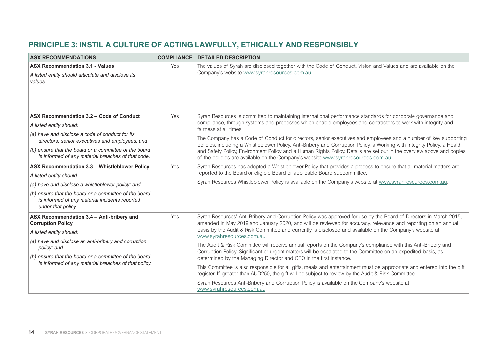### <span id="page-15-0"></span>**PRINCIPLE 3: INSTIL A CULTURE OF ACTING LAWFULLY, ETHICALLY AND RESPONSIBLY**

| <b>ASX RECOMMENDATIONS</b>                                                                                                    | <b>COMPLIANCE</b> | <b>DETAILED DESCRIPTION</b>                                                                                                                                                                                                                                                                                                                                                                                                                                |
|-------------------------------------------------------------------------------------------------------------------------------|-------------------|------------------------------------------------------------------------------------------------------------------------------------------------------------------------------------------------------------------------------------------------------------------------------------------------------------------------------------------------------------------------------------------------------------------------------------------------------------|
| <b>ASX Recommendation 3.1 - Values</b>                                                                                        | Yes               | The values of Syrah are disclosed together with the Code of Conduct, Vision and Values and are available on the                                                                                                                                                                                                                                                                                                                                            |
| A listed entity should articulate and disclose its<br>values.                                                                 |                   | Company's website www.syrahresources.com.au.                                                                                                                                                                                                                                                                                                                                                                                                               |
| ASX Recommendation 3.2 – Code of Conduct                                                                                      | Yes               | Syrah Resources is committed to maintaining international performance standards for corporate governance and                                                                                                                                                                                                                                                                                                                                               |
| A listed entity should:                                                                                                       |                   | compliance, through systems and processes which enable employees and contractors to work with integrity and<br>fairness at all times.                                                                                                                                                                                                                                                                                                                      |
| (a) have and disclose a code of conduct for its<br>directors, senior executives and employees; and                            |                   | The Company has a Code of Conduct for directors, senior executives and employees and a number of key supporting<br>policies, including a Whistleblower Policy, Anti-Bribery and Corruption Policy, a Working with Integrity Policy, a Health<br>and Safety Policy, Environment Policy and a Human Rights Policy. Details are set out in the overview above and copies<br>of the policies are available on the Company's website www.syrahresources.com.au. |
| (b) ensure that the board or a committee of the board<br>is informed of any material breaches of that code.                   |                   |                                                                                                                                                                                                                                                                                                                                                                                                                                                            |
| ASX Recommendation 3.3 - Whistleblower Policy                                                                                 | Yes               | Syrah Resources has adopted a Whistleblower Policy that provides a process to ensure that all material matters are                                                                                                                                                                                                                                                                                                                                         |
| A listed entity should:                                                                                                       |                   | reported to the Board or eligible Board or applicable Board subcommittee.                                                                                                                                                                                                                                                                                                                                                                                  |
| (a) have and disclose a whistleblower policy; and                                                                             |                   | Syrah Resources Whistleblower Policy is available on the Company's website at www.syrahresources.com.au.                                                                                                                                                                                                                                                                                                                                                   |
| (b) ensure that the board or a committee of the board<br>is informed of any material incidents reported<br>under that policy. |                   |                                                                                                                                                                                                                                                                                                                                                                                                                                                            |
| ASX Recommendation 3.4 - Anti-bribery and<br><b>Corruption Policy</b>                                                         | Yes               | Syrah Resources' Anti-Bribery and Corruption Policy was approved for use by the Board of Directors in March 2015,<br>amended in May 2019 and January 2020, and will be reviewed for accuracy, relevance and reporting on an annual                                                                                                                                                                                                                         |
| A listed entity should:                                                                                                       |                   | basis by the Audit & Risk Committee and currently is disclosed and available on the Company's website at<br>www.syrahresources.com.au.                                                                                                                                                                                                                                                                                                                     |
| (a) have and disclose an anti-bribery and corruption<br>policy; and                                                           |                   | The Audit & Risk Committee will receive annual reports on the Company's compliance with this Anti-Bribery and<br>Corruption Policy. Significant or urgent matters will be escalated to the Committee on an expedited basis, as                                                                                                                                                                                                                             |
| (b) ensure that the board or a committee of the board<br>is informed of any material breaches of that policy.                 |                   | determined by the Managing Director and CEO in the first instance.                                                                                                                                                                                                                                                                                                                                                                                         |
|                                                                                                                               |                   | This Committee is also responsible for all gifts, meals and entertainment must be appropriate and entered into the gift<br>register. If greater than AUD250, the gift will be subject to review by the Audit & Risk Committee.                                                                                                                                                                                                                             |
|                                                                                                                               |                   | Syrah Resources Anti-Bribery and Corruption Policy is available on the Company's website at<br>www.syrahresources.com.au.                                                                                                                                                                                                                                                                                                                                  |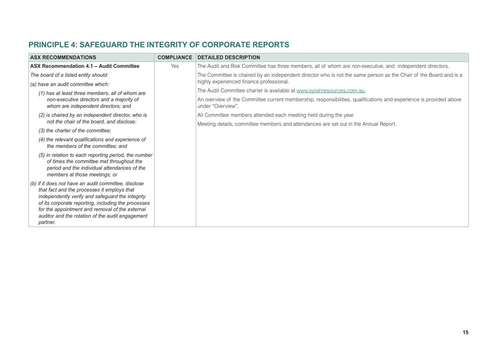| <b>ASX RECOMMENDATIONS</b>                                                                                                                                                                                                                                                                                                        | <b>COMPLIANCE</b> | <b>DETAILED DESCRIPTION</b>                                                                                                             |
|-----------------------------------------------------------------------------------------------------------------------------------------------------------------------------------------------------------------------------------------------------------------------------------------------------------------------------------|-------------------|-----------------------------------------------------------------------------------------------------------------------------------------|
| ASX Recommendation 4.1 - Audit Committee                                                                                                                                                                                                                                                                                          | Yes               | The Audit and Risk Committee has three members, all of whom are non-executive, and independent directors.                               |
| The board of a listed entity should:                                                                                                                                                                                                                                                                                              |                   | The Committee is chaired by an independent director who is not the same person as the Chair of the Board and is a                       |
| (a) have an audit committee which:                                                                                                                                                                                                                                                                                                |                   | highly experienced finance professional.                                                                                                |
| (1) has at least three members, all of whom are                                                                                                                                                                                                                                                                                   |                   | The Audit Committee charter is available at www.syrahresources.com.au.                                                                  |
| non-executive directors and a majority of<br>whom are independent directors; and                                                                                                                                                                                                                                                  |                   | An overview of the Committee current membership, responsibilities, qualifications and experience is provided above<br>under "Overview". |
| (2) is chaired by an independent director, who is                                                                                                                                                                                                                                                                                 |                   | All Committee members attended each meeting held during the year.                                                                       |
| not the chair of the board, and disclose:                                                                                                                                                                                                                                                                                         |                   | Meeting details, committee members and attendances are set out in the Annual Report.                                                    |
| (3) the charter of the committee;                                                                                                                                                                                                                                                                                                 |                   |                                                                                                                                         |
| (4) the relevant qualifications and experience of<br>the members of the committee; and                                                                                                                                                                                                                                            |                   |                                                                                                                                         |
| (5) in relation to each reporting period, the number<br>of times the committee met throughout the<br>period and the individual attendances of the<br>members at those meetings; or                                                                                                                                                |                   |                                                                                                                                         |
| (b) if it does not have an audit committee, disclose<br>that fact and the processes it employs that<br>independently verify and safeguard the integrity<br>of its corporate reporting, including the processes<br>for the appointment and removal of the external<br>auditor and the rotation of the audit engagement<br>partner. |                   |                                                                                                                                         |

### <span id="page-16-0"></span>**PRINCIPLE 4: SAFEGUARD THE INTEGRITY OF CORPORATE REPORTS**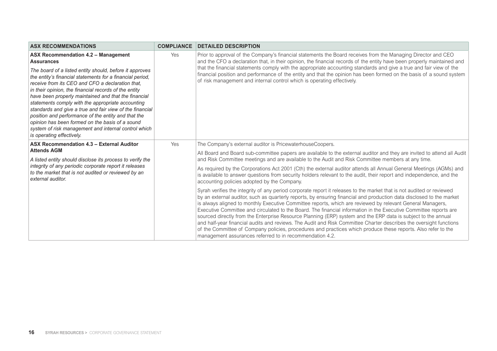| <b>ASX RECOMMENDATIONS</b>                                                                                                                                                                                                                                                                                                                                                                                                                                                                                                                                                                                | <b>COMPLIANCE</b> | <b>DETAILED DESCRIPTION</b>                                                                                                                                                                                                                                                                                                                                                                                                                                                                                                                                                                                                                                                                                                                                                                                                                                                                          |
|-----------------------------------------------------------------------------------------------------------------------------------------------------------------------------------------------------------------------------------------------------------------------------------------------------------------------------------------------------------------------------------------------------------------------------------------------------------------------------------------------------------------------------------------------------------------------------------------------------------|-------------------|------------------------------------------------------------------------------------------------------------------------------------------------------------------------------------------------------------------------------------------------------------------------------------------------------------------------------------------------------------------------------------------------------------------------------------------------------------------------------------------------------------------------------------------------------------------------------------------------------------------------------------------------------------------------------------------------------------------------------------------------------------------------------------------------------------------------------------------------------------------------------------------------------|
| ASX Recommendation 4.2 - Management<br><b>Assurances</b>                                                                                                                                                                                                                                                                                                                                                                                                                                                                                                                                                  | Yes               | Prior to approval of the Company's financial statements the Board receives from the Managing Director and CEO<br>and the CFO a declaration that, in their opinion, the financial records of the entity have been properly maintained and                                                                                                                                                                                                                                                                                                                                                                                                                                                                                                                                                                                                                                                             |
| The board of a listed entity should, before it approves<br>the entity's financial statements for a financial period,<br>receive from its CEO and CFO a declaration that.<br>in their opinion, the financial records of the entity<br>have been properly maintained and that the financial<br>statements comply with the appropriate accounting<br>standards and give a true and fair view of the financial<br>position and performance of the entity and that the<br>opinion has been formed on the basis of a sound<br>system of risk management and internal control which<br>is operating effectively. |                   | that the financial statements comply with the appropriate accounting standards and give a true and fair view of the<br>financial position and performance of the entity and that the opinion has been formed on the basis of a sound system<br>of risk management and internal control which is operating effectively.                                                                                                                                                                                                                                                                                                                                                                                                                                                                                                                                                                               |
| ASX Recommendation 4.3 - External Auditor                                                                                                                                                                                                                                                                                                                                                                                                                                                                                                                                                                 | Yes               | The Company's external auditor is PricewaterhouseCoopers.                                                                                                                                                                                                                                                                                                                                                                                                                                                                                                                                                                                                                                                                                                                                                                                                                                            |
| <b>Attends AGM</b><br>A listed entity should disclose its process to verify the                                                                                                                                                                                                                                                                                                                                                                                                                                                                                                                           |                   | All Board and Board sub-committee papers are available to the external auditor and they are invited to attend all Audit<br>and Risk Committee meetings and are available to the Audit and Risk Committee members at any time.                                                                                                                                                                                                                                                                                                                                                                                                                                                                                                                                                                                                                                                                        |
| integrity of any periodic corporate report it releases<br>to the market that is not audited or reviewed by an<br>external auditor.                                                                                                                                                                                                                                                                                                                                                                                                                                                                        |                   | As required by the Corporations Act 2001 (Cth) the external auditor attends all Annual General Meetings (AGMs) and<br>is available to answer questions from security holders relevant to the audit, their report and independence, and the<br>accounting policies adopted by the Company.                                                                                                                                                                                                                                                                                                                                                                                                                                                                                                                                                                                                            |
|                                                                                                                                                                                                                                                                                                                                                                                                                                                                                                                                                                                                           |                   | Syrah verifies the integrity of any period corporate report it releases to the market that is not audited or reviewed<br>by an external auditor, such as quarterly reports, by ensuring financial and production data disclosed to the market<br>is always aligned to monthly Executive Committee reports, which are reviewed by relevant General Managers,<br>Executive Committee and circulated to the Board. The financial information in the Executive Committee reports are<br>sourced directly from the Enterprise Resource Planning (ERP) system and the ERP data is subject to the annual<br>and half-year financial audits and reviews. The Audit and Risk Committee Charter describes the oversight functions<br>of the Committee of Company policies, procedures and practices which produce these reports. Also refer to the<br>management assurances referred to in recommendation 4.2. |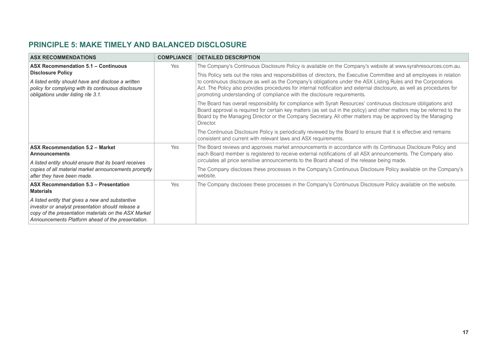### <span id="page-18-0"></span>**PRINCIPLE 5: MAKE TIMELY AND BALANCED DISCLOSURE**

| <b>ASX RECOMMENDATIONS</b>                                                                                                                                                                                         | <b>COMPLIANCE</b> | <b>DETAILED DESCRIPTION</b>                                                                                                                                                                                                                                                                                                                                                                                                                   |
|--------------------------------------------------------------------------------------------------------------------------------------------------------------------------------------------------------------------|-------------------|-----------------------------------------------------------------------------------------------------------------------------------------------------------------------------------------------------------------------------------------------------------------------------------------------------------------------------------------------------------------------------------------------------------------------------------------------|
| <b>ASX Recommendation 5.1 - Continuous</b>                                                                                                                                                                         | Yes               | The Company's Continuous Disclosure Policy is available on the Company's website at www.syrahresources.com.au.                                                                                                                                                                                                                                                                                                                                |
| <b>Disclosure Policy</b><br>A listed entity should have and disclose a written<br>policy for complying with its continuous disclosure<br>obligations under listing rile 3.1.                                       |                   | This Policy sets out the roles and responsibilities of directors, the Executive Committee and all employees in relation<br>to continuous disclosure as well as the Company's obligations under the ASX Listing Rules and the Corporations<br>Act. The Policy also provides procedures for internal notification and external disclosure, as well as procedures for<br>promoting understanding of compliance with the disclosure requirements. |
|                                                                                                                                                                                                                    |                   | The Board has overall responsibility for compliance with Syrah Resources' continuous disclosure obligations and<br>Board approval is required for certain key matters (as set out in the policy) and other matters may be referred to the<br>Board by the Managing Director or the Company Secretary. All other matters may be approved by the Managing<br>Director.                                                                          |
|                                                                                                                                                                                                                    |                   | The Continuous Disclosure Policy is periodically reviewed by the Board to ensure that it is effective and remains<br>consistent and current with relevant laws and ASX requirements.                                                                                                                                                                                                                                                          |
| <b>ASX Recommendation 5.2 - Market</b><br><b>Announcements</b>                                                                                                                                                     | Yes               | The Board reviews and approves market announcements in accordance with its Continuous Disclosure Policy and<br>each Board member is registered to receive external notifications of all ASX announcements. The Company also<br>circulates all price sensitive announcements to the Board ahead of the release being made.                                                                                                                     |
| A listed entity should ensure that its board receives                                                                                                                                                              |                   |                                                                                                                                                                                                                                                                                                                                                                                                                                               |
| copies of all material market announcements promptly<br>after they have been made.                                                                                                                                 |                   | The Company discloses these processes in the Company's Continuous Disclosure Policy available on the Company's<br>website.                                                                                                                                                                                                                                                                                                                    |
| ASX Recommendation 5.3 - Presentation<br><b>Materials</b>                                                                                                                                                          | Yes               | The Company discloses these processes in the Company's Continuous Disclosure Policy available on the website.                                                                                                                                                                                                                                                                                                                                 |
| A listed entity that gives a new and substantive<br>investor or analyst presentation should release a<br>copy of the presentation materials on the ASX Market<br>Announcements Platform ahead of the presentation. |                   |                                                                                                                                                                                                                                                                                                                                                                                                                                               |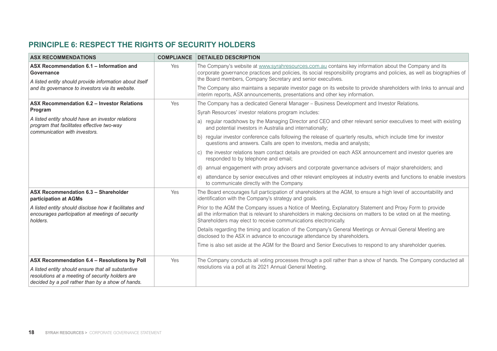#### <span id="page-19-0"></span>**PRINCIPLE 6: RESPECT THE RIGHTS OF SECURITY HOLDERS**

| <b>ASX RECOMMENDATIONS</b>                                                                                                                                  | <b>COMPLIANCE</b> | <b>DETAILED DESCRIPTION</b>                                                                                                                                                                                                                                                                        |
|-------------------------------------------------------------------------------------------------------------------------------------------------------------|-------------------|----------------------------------------------------------------------------------------------------------------------------------------------------------------------------------------------------------------------------------------------------------------------------------------------------|
| ASX Recommendation 6.1 - Information and<br>Governance<br>A listed entity should provide information about itself                                           | Yes               | The Company's website at www.syrahresources.com.au contains key information about the Company and its<br>corporate governance practices and policies, its social responsibility programs and policies, as well as biographies of<br>the Board members, Company Secretary and senior executives.    |
| and its governance to investors via its website.                                                                                                            |                   | The Company also maintains a separate investor page on its website to provide shareholders with links to annual and<br>interim reports, ASX announcements, presentations and other key information.                                                                                                |
| ASX Recommendation 6.2 - Investor Relations                                                                                                                 | Yes               | The Company has a dedicated General Manager - Business Development and Investor Relations.                                                                                                                                                                                                         |
| Program                                                                                                                                                     |                   | Syrah Resources' investor relations program includes:                                                                                                                                                                                                                                              |
| A listed entity should have an investor relations<br>program that facilitates effective two-way<br>communication with investors.                            |                   | a) regular roadshows by the Managing Director and CEO and other relevant senior executives to meet with existing<br>and potential investors in Australia and internationally;                                                                                                                      |
|                                                                                                                                                             |                   | b) regular investor conference calls following the release of quarterly results, which include time for investor<br>questions and answers. Calls are open to investors, media and analysts;                                                                                                        |
|                                                                                                                                                             |                   | c) the investor relations team contact details are provided on each ASX announcement and investor queries are<br>responded to by telephone and email;                                                                                                                                              |
|                                                                                                                                                             |                   | d) annual engagement with proxy advisers and corporate governance advisers of major shareholders; and                                                                                                                                                                                              |
|                                                                                                                                                             |                   | e) attendance by senior executives and other relevant employees at industry events and functions to enable investors<br>to communicate directly with the Company.                                                                                                                                  |
| ASX Recommendation 6.3 - Shareholder<br>participation at AGMs                                                                                               | Yes               | The Board encourages full participation of shareholders at the AGM, to ensure a high level of accountability and<br>identification with the Company's strategy and goals.                                                                                                                          |
| A listed entity should disclose how it facilitates and<br>encourages participation at meetings of security<br>holders.                                      |                   | Prior to the AGM the Company issues a Notice of Meeting, Explanatory Statement and Proxy Form to provide<br>all the information that is relevant to shareholders in making decisions on matters to be voted on at the meeting.<br>Shareholders may elect to receive communications electronically. |
|                                                                                                                                                             |                   | Details regarding the timing and location of the Company's General Meetings or Annual General Meeting are<br>disclosed to the ASX in advance to encourage attendance by shareholders.                                                                                                              |
|                                                                                                                                                             |                   | Time is also set aside at the AGM for the Board and Senior Executives to respond to any shareholder queries.                                                                                                                                                                                       |
| ASX Recommendation 6.4 - Resolutions by Poll                                                                                                                | Yes               | The Company conducts all voting processes through a poll rather than a show of hands. The Company conducted all                                                                                                                                                                                    |
| A listed entity should ensure that all substantive<br>resolutions at a meeting of security holders are<br>decided by a poll rather than by a show of hands. |                   | resolutions via a poll at its 2021 Annual General Meeting.                                                                                                                                                                                                                                         |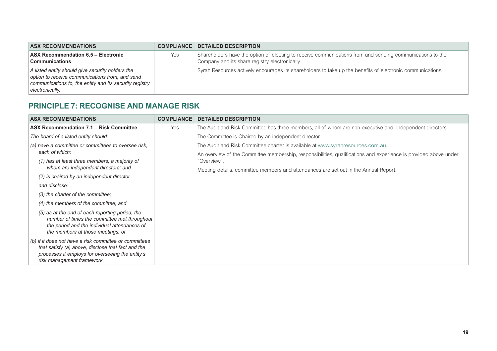<span id="page-20-0"></span>

| <b>ASX RECOMMENDATIONS</b>                                                                                                                                                        | <b>COMPLIANCE</b> | <b>DETAILED DESCRIPTION</b>                                                                                                                                 |
|-----------------------------------------------------------------------------------------------------------------------------------------------------------------------------------|-------------------|-------------------------------------------------------------------------------------------------------------------------------------------------------------|
| ASX Recommendation 6.5 - Electronic<br><b>Communications</b>                                                                                                                      | Yes               | Shareholders have the option of electing to receive communications from and sending communications to the<br>Company and its share registry electronically. |
| A listed entity should give security holders the<br>option to receive communications from, and send<br>communications to, the entity and its security registry<br>electronically. |                   | Syrah Resources actively encourages its shareholders to take up the benefits of electronic communications.                                                  |

#### **PRINCIPLE 7: RECOGNISE AND MANAGE RISK**

| <b>ASX RECOMMENDATIONS</b>                                                                             | <b>COMPLIANCE</b> | <b>DETAILED DESCRIPTION</b>                                                                                      |
|--------------------------------------------------------------------------------------------------------|-------------------|------------------------------------------------------------------------------------------------------------------|
| ASX Recommendation 7.1 - Risk Committee                                                                | Yes               | The Audit and Risk Committee has three members, all of whom are non-executive and independent directors.         |
| The board of a listed entity should:                                                                   |                   | The Committee is Chaired by an independent director.                                                             |
| (a) have a committee or committees to oversee risk,                                                    |                   | The Audit and Risk Committee charter is available at www.syrahresources.com.au.                                  |
| each of which:                                                                                         |                   | An overview of the Committee membership, responsibilities, qualifications and experience is provided above under |
| (1) has at least three members, a majority of                                                          |                   | "Overview".                                                                                                      |
| whom are independent directors; and                                                                    |                   | Meeting details, committee members and attendances are set out in the Annual Report.                             |
| (2) is chaired by an independent director,                                                             |                   |                                                                                                                  |
| and disclose:                                                                                          |                   |                                                                                                                  |
| (3) the charter of the committee;                                                                      |                   |                                                                                                                  |
| (4) the members of the committee; and                                                                  |                   |                                                                                                                  |
| (5) as at the end of each reporting period, the                                                        |                   |                                                                                                                  |
| number of times the committee met throughout<br>the period and the individual attendances of           |                   |                                                                                                                  |
| the members at those meetings; or                                                                      |                   |                                                                                                                  |
| (b) if it does not have a risk committee or committees                                                 |                   |                                                                                                                  |
| that satisfy (a) above, disclose that fact and the<br>processes it employs for overseeing the entity's |                   |                                                                                                                  |
| risk management framework.                                                                             |                   |                                                                                                                  |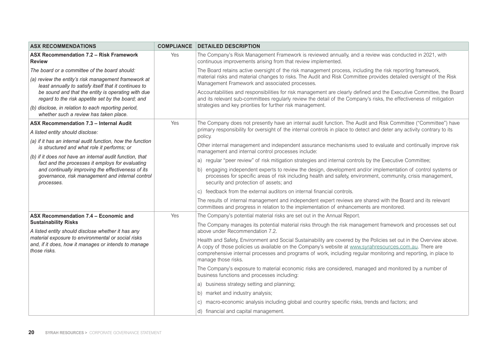| <b>ASX RECOMMENDATIONS</b>                                                                                                 | <b>COMPLIANCE</b> | <b>DETAILED DESCRIPTION</b>                                                                                                                                                                                                                                                                                                                                            |
|----------------------------------------------------------------------------------------------------------------------------|-------------------|------------------------------------------------------------------------------------------------------------------------------------------------------------------------------------------------------------------------------------------------------------------------------------------------------------------------------------------------------------------------|
| ASX Recommendation 7.2 - Risk Framework<br><b>Review</b>                                                                   | Yes               | The Company's Risk Management Framework is reviewed annually, and a review was conducted in 2021, with<br>continuous improvements arising from that review implemented.                                                                                                                                                                                                |
| The board or a committee of the board should:                                                                              |                   | The Board retains active oversight of the risk management process, including the risk reporting framework,                                                                                                                                                                                                                                                             |
| (a) review the entity's risk management framework at<br>least annually to satisfy itself that it continues to              |                   | material risks and material changes to risks. The Audit and Risk Committee provides detailed oversight of the Risk<br>Management Framework and associated processes.                                                                                                                                                                                                   |
| be sound and that the entity is operating with due<br>regard to the risk appetite set by the board; and                    |                   | Accountabilities and responsibilities for risk management are clearly defined and the Executive Committee, the Board<br>and its relevant sub-committees regularly review the detail of the Company's risks, the effectiveness of mitigation                                                                                                                            |
| (b) disclose, in relation to each reporting period,<br>whether such a review has taken place.                              |                   | strategies and key priorities for further risk management.                                                                                                                                                                                                                                                                                                             |
| ASX Recommendation 7.3 - Internal Audit                                                                                    | Yes               | The Company does not presently have an internal audit function. The Audit and Risk Committee ("Committee") have                                                                                                                                                                                                                                                        |
| A listed entity should disclose:                                                                                           |                   | primary responsibility for oversight of the internal controls in place to detect and deter any activity contrary to its<br>policy.                                                                                                                                                                                                                                     |
| (a) if it has an internal audit function, how the function<br>is structured and what role it performs; or                  |                   | Other internal management and independent assurance mechanisms used to evaluate and continually improve risk<br>management and internal control processes include:                                                                                                                                                                                                     |
| (b) if it does not have an internal audit function, that<br>fact and the processes it employs for evaluating               |                   | a) regular "peer review" of risk mitigation strategies and internal controls by the Executive Committee;                                                                                                                                                                                                                                                               |
| and continually improving the effectiveness of its<br>governance, risk management and internal control<br>processes.       |                   | b) engaging independent experts to review the design, development and/or implementation of control systems or<br>processes for specific areas of risk including health and safety, environment, community, crisis management,<br>security and protection of assets; and                                                                                                |
|                                                                                                                            |                   | c) feedback from the external auditors on internal financial controls.                                                                                                                                                                                                                                                                                                 |
|                                                                                                                            |                   | The results of internal management and independent expert reviews are shared with the Board and its relevant<br>committees and progress in relation to the implementation of enhancements are monitored.                                                                                                                                                               |
| ASX Recommendation 7.4 - Economic and                                                                                      | Yes               | The Company's potential material risks are set out in the Annual Report.                                                                                                                                                                                                                                                                                               |
| <b>Sustainability Risks</b><br>A listed entity should disclose whether it has any                                          |                   | The Company manages its potential material risks through the risk management framework and processes set out<br>above under Recommendation 7.2.                                                                                                                                                                                                                        |
| material exposure to environmental or social risks<br>and, if it does, how it manages or intends to manage<br>those risks. |                   | Health and Safety, Environment and Social Sustainability are covered by the Policies set out in the Overview above.<br>A copy of those policies us available on the Company's website at www.syrahresources.com.au. There are<br>comprehensive internal processes and programs of work, including regular monitoring and reporting, in place to<br>manage those risks. |
|                                                                                                                            |                   | The Company's exposure to material economic risks are considered, managed and monitored by a number of<br>business functions and processes including:                                                                                                                                                                                                                  |
|                                                                                                                            |                   | a) business strategy setting and planning;                                                                                                                                                                                                                                                                                                                             |
|                                                                                                                            |                   | b) market and industry analysis;                                                                                                                                                                                                                                                                                                                                       |
|                                                                                                                            |                   | c) macro-economic analysis including global and country specific risks, trends and factors; and                                                                                                                                                                                                                                                                        |
|                                                                                                                            |                   | d) financial and capital management.                                                                                                                                                                                                                                                                                                                                   |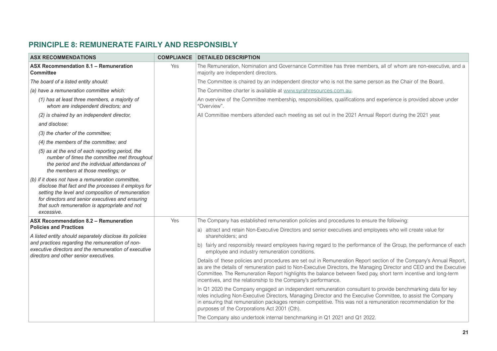### <span id="page-22-0"></span>**PRINCIPLE 8: REMUNERATE FAIRLY AND RESPONSIBLY**

| <b>ASX RECOMMENDATIONS</b>                                                                                                                                                                                                                                                       | <b>COMPLIANCE</b> | <b>DETAILED DESCRIPTION</b>                                                                                                                                                                                                                                                                                                                                                                                                     |
|----------------------------------------------------------------------------------------------------------------------------------------------------------------------------------------------------------------------------------------------------------------------------------|-------------------|---------------------------------------------------------------------------------------------------------------------------------------------------------------------------------------------------------------------------------------------------------------------------------------------------------------------------------------------------------------------------------------------------------------------------------|
| ASX Recommendation 8.1 - Remuneration<br><b>Committee</b>                                                                                                                                                                                                                        | Yes               | The Remuneration, Nomination and Governance Committee has three members, all of whom are non-executive, and a<br>majority are independent directors.                                                                                                                                                                                                                                                                            |
| The board of a listed entity should:                                                                                                                                                                                                                                             |                   | The Committee is chaired by an independent director who is not the same person as the Chair of the Board.                                                                                                                                                                                                                                                                                                                       |
| (a) have a remuneration committee which:                                                                                                                                                                                                                                         |                   | The Committee charter is available at www.syrahresources.com.au.                                                                                                                                                                                                                                                                                                                                                                |
| (1) has at least three members, a majority of<br>whom are independent directors; and                                                                                                                                                                                             |                   | An overview of the Committee membership, responsibilities, qualifications and experience is provided above under<br>"Overview".                                                                                                                                                                                                                                                                                                 |
| (2) is chaired by an independent director,                                                                                                                                                                                                                                       |                   | All Committee members attended each meeting as set out in the 2021 Annual Report during the 2021 year.                                                                                                                                                                                                                                                                                                                          |
| and disclose:                                                                                                                                                                                                                                                                    |                   |                                                                                                                                                                                                                                                                                                                                                                                                                                 |
| (3) the charter of the committee;                                                                                                                                                                                                                                                |                   |                                                                                                                                                                                                                                                                                                                                                                                                                                 |
| (4) the members of the committee; and                                                                                                                                                                                                                                            |                   |                                                                                                                                                                                                                                                                                                                                                                                                                                 |
| (5) as at the end of each reporting period, the<br>number of times the committee met throughout<br>the period and the individual attendances of<br>the members at those meetings; or                                                                                             |                   |                                                                                                                                                                                                                                                                                                                                                                                                                                 |
| (b) if it does not have a remuneration committee,<br>disclose that fact and the processes it employs for<br>setting the level and composition of remuneration<br>for directors and senior executives and ensuring<br>that such remuneration is appropriate and not<br>excessive. |                   |                                                                                                                                                                                                                                                                                                                                                                                                                                 |
| ASX Recommendation 8.2 - Remuneration                                                                                                                                                                                                                                            | Yes               | The Company has established remuneration policies and procedures to ensure the following:                                                                                                                                                                                                                                                                                                                                       |
| <b>Policies and Practices</b><br>A listed entity should separately disclose its policies                                                                                                                                                                                         |                   | a) attract and retain Non-Executive Directors and senior executives and employees who will create value for<br>shareholders; and                                                                                                                                                                                                                                                                                                |
| and practices regarding the remuneration of non-<br>executive directors and the remuneration of executive<br>directors and other senior executives.                                                                                                                              |                   | b) fairly and responsibly reward employees having regard to the performance of the Group, the performance of each<br>employee and industry remuneration conditions.                                                                                                                                                                                                                                                             |
|                                                                                                                                                                                                                                                                                  |                   | Details of these policies and procedures are set out in Remuneration Report section of the Company's Annual Report,<br>as are the details of remuneration paid to Non-Executive Directors, the Managing Director and CEO and the Executive<br>Committee. The Remuneration Report highlights the balance between fixed pay, short term incentive and long-term<br>incentives, and the relationship to the Company's performance. |
|                                                                                                                                                                                                                                                                                  |                   | In Q1 2020 the Company engaged an independent remuneration consultant to provide benchmarking data for key<br>roles including Non-Executive Directors, Managing Director and the Executive Committee, to assist the Company<br>in ensuring that remuneration packages remain competitive. This was not a remuneration recommendation for the<br>purposes of the Corporations Act 2001 (Cth).                                    |
|                                                                                                                                                                                                                                                                                  |                   | The Company also undertook internal benchmarking in Q1 2021 and Q1 2022.                                                                                                                                                                                                                                                                                                                                                        |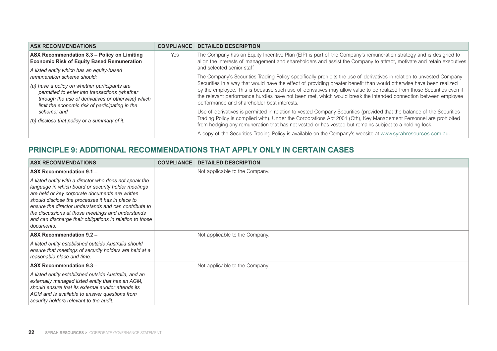<span id="page-23-0"></span>

| <b>ASX RECOMMENDATIONS</b>                                                                                                                                                                                                                                                                         | <b>COMPLIANCE</b> | <b>DETAILED DESCRIPTION</b>                                                                                                                                                                                                                                                                                                                                                                                                                                                                                                                                                                                                                                                                                                                                                                                       |
|----------------------------------------------------------------------------------------------------------------------------------------------------------------------------------------------------------------------------------------------------------------------------------------------------|-------------------|-------------------------------------------------------------------------------------------------------------------------------------------------------------------------------------------------------------------------------------------------------------------------------------------------------------------------------------------------------------------------------------------------------------------------------------------------------------------------------------------------------------------------------------------------------------------------------------------------------------------------------------------------------------------------------------------------------------------------------------------------------------------------------------------------------------------|
| ASX Recommendation 8.3 - Policy on Limiting<br><b>Economic Risk of Equity Based Remuneration</b>                                                                                                                                                                                                   | Yes               | The Company has an Equity Incentive Plan (EIP) is part of the Company's remuneration strategy and is designed to<br>align the interests of management and shareholders and assist the Company to attract, motivate and retain executives                                                                                                                                                                                                                                                                                                                                                                                                                                                                                                                                                                          |
| A listed entity which has an equity-based<br>remuneration scheme should:<br>(a) have a policy on whether participants are<br>permitted to enter into transactions (whether<br>through the use of derivatives or otherwise) which<br>limit the economic risk of participating in the<br>scheme: and |                   | and selected senior staff.<br>The Company's Securities Trading Policy specifically prohibits the use of derivatives in relation to unvested Company<br>Securities in a way that would have the effect of providing greater benefit than would otherwise have been realized<br>by the employee. This is because such use of derivatives may allow value to be realized from those Securities even if<br>the relevant performance hurdles have not been met, which would break the intended connection between employee<br>performance and shareholder best interests.<br>Use of derivatives is permitted in relation to vested Company Securities (provided that the balance of the Securities<br>Trading Policy is complied with). Under the Corporations Act 2001 (Cth), Key Management Personnel are prohibited |
| (b) disclose that policy or a summary of it.                                                                                                                                                                                                                                                       |                   | from hedging any remuneration that has not vested or has vested but remains subject to a holding lock.<br>A copy of the Securities Trading Policy is available on the Company's website at www.syrahresources.com.au.                                                                                                                                                                                                                                                                                                                                                                                                                                                                                                                                                                                             |

#### **PRINCIPLE 9: ADDITIONAL RECOMMENDATIONS THAT APPLY ONLY IN CERTAIN CASES**

| <b>ASX RECOMMENDATIONS</b>                                                                                                                                                                                                                                                                                                                                                                                   | <b>COMPLIANCE</b> | <b>DETAILED DESCRIPTION</b>    |
|--------------------------------------------------------------------------------------------------------------------------------------------------------------------------------------------------------------------------------------------------------------------------------------------------------------------------------------------------------------------------------------------------------------|-------------------|--------------------------------|
| ASX Recommendation 9.1 -                                                                                                                                                                                                                                                                                                                                                                                     |                   | Not applicable to the Company. |
| A listed entity with a director who does not speak the<br>language in which board or security holder meetings<br>are held or key corporate documents are written<br>should disclose the processes it has in place to<br>ensure the director understands and can contribute to<br>the discussions at those meetings and understands<br>and can discharge their obligations in relation to those<br>documents. |                   |                                |
| <b>ASX Recommendation 9.2 -</b>                                                                                                                                                                                                                                                                                                                                                                              |                   | Not applicable to the Company. |
| A listed entity established outside Australia should<br>ensure that meetings of security holders are held at a<br>reasonable place and time.                                                                                                                                                                                                                                                                 |                   |                                |
| ASX Recommendation 9.3 -                                                                                                                                                                                                                                                                                                                                                                                     |                   | Not applicable to the Company. |
| A listed entity established outside Australia, and an<br>externally managed listed entity that has an AGM,<br>should ensure that its external auditor attends its<br>AGM and is available to answer questions from<br>security holders relevant to the audit.                                                                                                                                                |                   |                                |